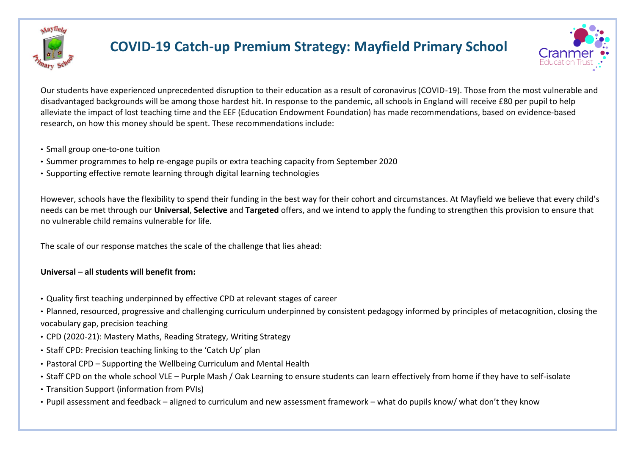

# **COVID-19 Catch-up Premium Strategy: Mayfield Primary School**



Our students have experienced unprecedented disruption to their education as a result of coronavirus (COVID-19). Those from the most vulnerable and disadvantaged backgrounds will be among those hardest hit. In response to the pandemic, all schools in England will receive £80 per pupil to help alleviate the impact of lost teaching time and the EEF (Education Endowment Foundation) has made recommendations, based on evidence-based research, on how this money should be spent. These recommendations include:

- Small group one-to-one tuition
- Summer programmes to help re-engage pupils or extra teaching capacity from September 2020
- Supporting effective remote learning through digital learning technologies

However, schools have the flexibility to spend their funding in the best way for their cohort and circumstances. At Mayfield we believe that every child's needs can be met through our **Universal**, **Selective** and **Targeted** offers, and we intend to apply the funding to strengthen this provision to ensure that no vulnerable child remains vulnerable for life.

The scale of our response matches the scale of the challenge that lies ahead:

## **Universal – all students will benefit from:**

• Quality first teaching underpinned by effective CPD at relevant stages of career

• Planned, resourced, progressive and challenging curriculum underpinned by consistent pedagogy informed by principles of metacognition, closing the vocabulary gap, precision teaching

- CPD (2020-21): Mastery Maths, Reading Strategy, Writing Strategy
- Staff CPD: Precision teaching linking to the 'Catch Up' plan
- Pastoral CPD Supporting the Wellbeing Curriculum and Mental Health
- Staff CPD on the whole school VLE Purple Mash / Oak Learning to ensure students can learn effectively from home if they have to self-isolate
- Transition Support (information from PVIs)
- Pupil assessment and feedback aligned to curriculum and new assessment framework what do pupils know/ what don't they know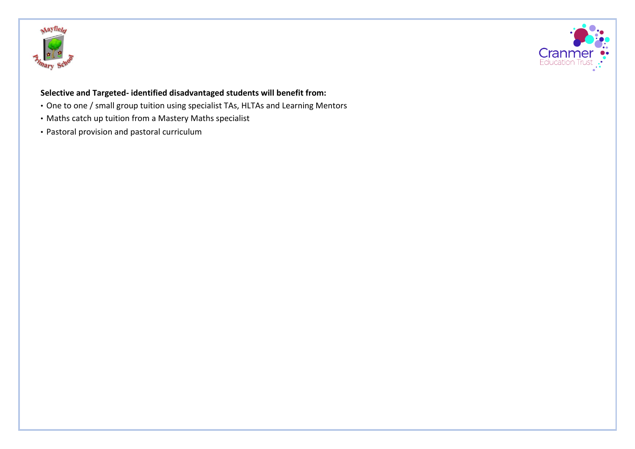



## **Selective and Targeted- identified disadvantaged students will benefit from:**

- One to one / small group tuition using specialist TAs, HLTAs and Learning Mentors
- Maths catch up tuition from a Mastery Maths specialist
- Pastoral provision and pastoral curriculum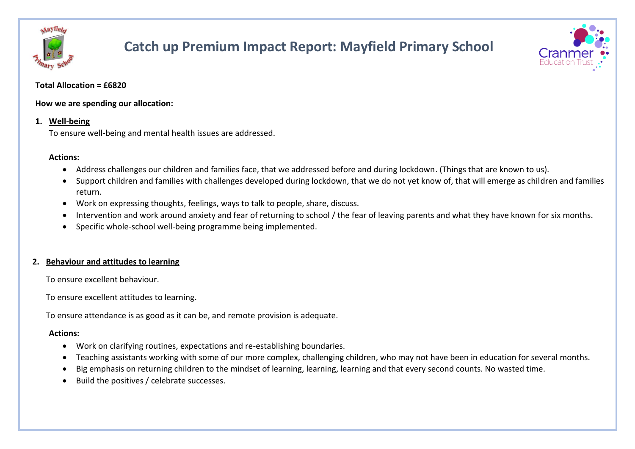

# **Catch up Premium Impact Report: Mayfield Primary School**



#### **Total Allocation = £6820**

**How we are spending our allocation:** 

## **1. Well-being**

To ensure well-being and mental health issues are addressed.

## **Actions:**

- Address challenges our children and families face, that we addressed before and during lockdown. (Things that are known to us).
- Support children and families with challenges developed during lockdown, that we do not yet know of, that will emerge as children and families return.
- Work on expressing thoughts, feelings, ways to talk to people, share, discuss.
- Intervention and work around anxiety and fear of returning to school / the fear of leaving parents and what they have known for six months.
- Specific whole-school well-being programme being implemented.

## **2. Behaviour and attitudes to learning**

To ensure excellent behaviour.

To ensure excellent attitudes to learning.

To ensure attendance is as good as it can be, and remote provision is adequate.

## **Actions:**

- Work on clarifying routines, expectations and re-establishing boundaries.
- Teaching assistants working with some of our more complex, challenging children, who may not have been in education for several months.
- Big emphasis on returning children to the mindset of learning, learning, learning and that every second counts. No wasted time.
- Build the positives / celebrate successes.